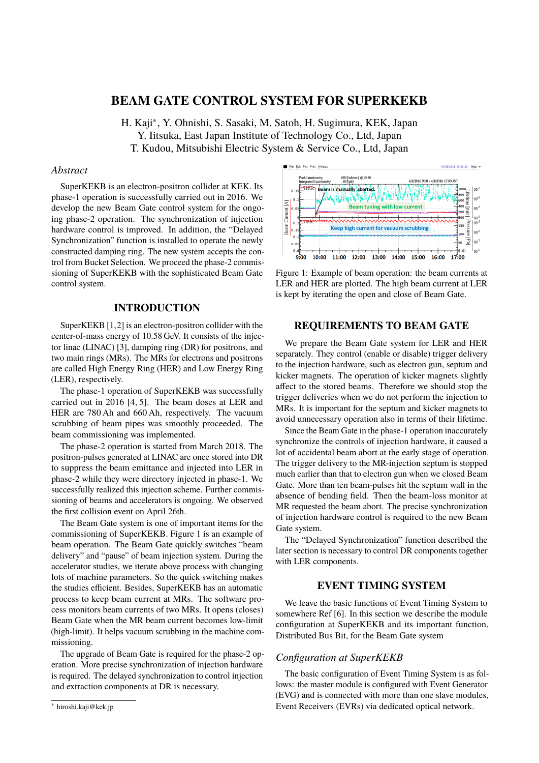# **BEAM GATE CONTROL SYSTEM FOR SUPERKEKB**

H. Kaji<sup>∗</sup> , Y. Ohnishi, S. Sasaki, M. Satoh, H. Sugimura, KEK, Japan Y. Iitsuka, East Japan Institute of Technology Co., Ltd, Japan T. Kudou, Mitsubishi Electric System & Service Co., Ltd, Japan

## *Abstract*

SuperKEKB is an electron-positron collider at KEK. Its phase-1 operation is successfully carried out in 2016. We develop the new Beam Gate control system for the ongoing phase-2 operation. The synchronization of injection hardware control is improved. In addition, the "Delayed Synchronization" function is installed to operate the newly constructed damping ring. The new system accepts the control from Bucket Selection. We proceed the phase-2 commissioning of SuperKEKB with the sophisticated Beam Gate control system.

## **INTRODUCTION**

SuperKEKB [1,2] is an electron-positron collider with the center-of-mass energy of 10.58 GeV. It consists of the injector linac (LINAC) [3], damping ring (DR) for positrons, and two main rings (MRs). The MRs for electrons and positrons are called High Energy Ring (HER) and Low Energy Ring (LER), respectively.

The phase-1 operation of SuperKEKB was successfully carried out in 2016 [4, 5]. The beam doses at LER and HER are 780 Ah and 660 Ah, respectively. The vacuum scrubbing of beam pipes was smoothly proceeded. The beam commissioning was implemented.

The phase-2 operation is started from March 2018. The positron-pulses generated at LINAC are once stored into DR to suppress the beam emittance and injected into LER in phase-2 while they were directory injected in phase-1. We successfully realized this injection scheme. Further commissioning of beams and accelerators is ongoing. We observed the first collision event on April 26th.

The Beam Gate system is one of important items for the commissioning of SuperKEKB. Figure 1 is an example of beam operation. The Beam Gate quickly switches "beam delivery" and "pause" of beam injection system. During the accelerator studies, we iterate above process with changing lots of machine parameters. So the quick switching makes the studies efficient. Besides, SuperKEKB has an automatic process to keep beam current at MRs. The software process monitors beam currents of two MRs. It opens (closes) Beam Gate when the MR beam current becomes low-limit (high-limit). It helps vacuum scrubbing in the machine commissioning.

The upgrade of Beam Gate is required for the phase-2 operation. More precise synchronization of injection hardware is required. The delayed synchronization to control injection and extraction components at DR is necessary.



Figure 1: Example of beam operation: the beam currents at LER and HER are plotted. The high beam current at LER is kept by iterating the open and close of Beam Gate.

# **REQUIREMENTS TO BEAM GATE**

We prepare the Beam Gate system for LER and HER separately. They control (enable or disable) trigger delivery to the injection hardware, such as electron gun, septum and kicker magnets. The operation of kicker magnets slightly affect to the stored beams. Therefore we should stop the trigger deliveries when we do not perform the injection to MRs. It is important for the septum and kicker magnets to avoid unnecessary operation also in terms of their lifetime.

Since the Beam Gate in the phase-1 operation inaccurately synchronize the controls of injection hardware, it caused a lot of accidental beam abort at the early stage of operation. The trigger delivery to the MR-injection septum is stopped much earlier than that to electron gun when we closed Beam Gate. More than ten beam-pulses hit the septum wall in the absence of bending field. Then the beam-loss monitor at MR requested the beam abort. The precise synchronization of injection hardware control is required to the new Beam Gate system.

The "Delayed Synchronization" function described the later section is necessary to control DR components together with LER components.

## **EVENT TIMING SYSTEM**

We leave the basic functions of Event Timing System to somewhere Ref [6]. In this section we describe the module configuration at SuperKEKB and its important function, Distributed Bus Bit, for the Beam Gate system

#### *Configuration at SuperKEKB*

The basic configuration of Event Timing System is as follows: the master module is configured with Event Generator (EVG) and is connected with more than one slave modules, Event Receivers (EVRs) via dedicated optical network.

<sup>∗</sup> hiroshi.kaji@kek.jp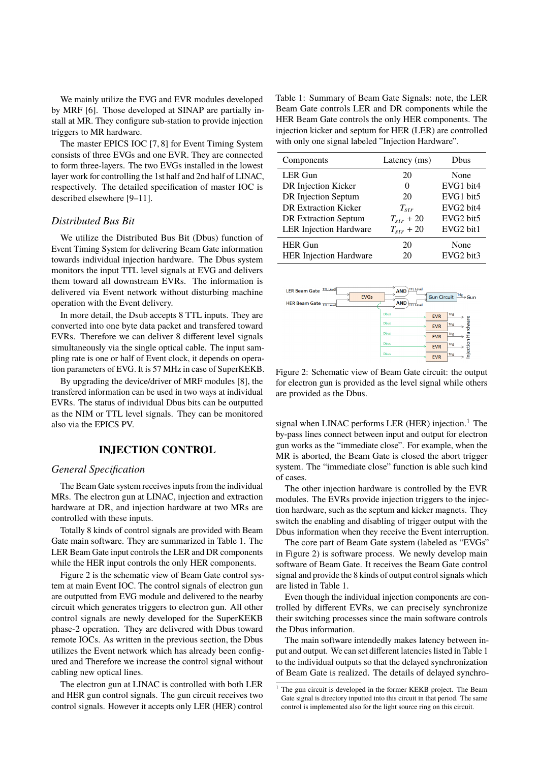We mainly utilize the EVG and EVR modules developed by MRF [6]. Those developed at SINAP are partially install at MR. They configure sub-station to provide injection triggers to MR hardware.

The master EPICS IOC [7, 8] for Event Timing System consists of three EVGs and one EVR. They are connected to form three-layers. The two EVGs installed in the lowest layer work for controlling the 1st half and 2nd half of LINAC, respectively. The detailed specification of master IOC is described elsewhere [9–11].

### *Distributed Bus Bit*

We utilize the Distributed Bus Bit (Dbus) function of Event Timing System for delivering Beam Gate information towards individual injection hardware. The Dbus system monitors the input TTL level signals at EVG and delivers them toward all downstream EVRs. The information is delivered via Event network without disturbing machine operation with the Event delivery.

In more detail, the Dsub accepts 8 TTL inputs. They are converted into one byte data packet and transfered toward EVRs. Therefore we can deliver 8 different level signals simultaneously via the single optical cable. The input sampling rate is one or half of Event clock, it depends on operation parameters of EVG. It is 57 MHz in case of SuperKEKB.

By upgrading the device/driver of MRF modules [8], the transfered information can be used in two ways at individual EVRs. The status of individual Dbus bits can be outputted as the NIM or TTL level signals. They can be monitored also via the EPICS PV.

## **INJECTION CONTROL**

### *General Specification*

The Beam Gate system receives inputs from the individual MRs. The electron gun at LINAC, injection and extraction hardware at DR, and injection hardware at two MRs are controlled with these inputs.

Totally 8 kinds of control signals are provided with Beam Gate main software. They are summarized in Table 1. The LER Beam Gate input controls the LER and DR components while the HER input controls the only HER components.

Figure 2 is the schematic view of Beam Gate control system at main Event IOC. The control signals of electron gun are outputted from EVG module and delivered to the nearby circuit which generates triggers to electron gun. All other control signals are newly developed for the SuperKEKB phase-2 operation. They are delivered with Dbus toward remote IOCs. As written in the previous section, the Dbus utilizes the Event network which has already been configured and Therefore we increase the control signal without cabling new optical lines.

The electron gun at LINAC is controlled with both LER and HER gun control signals. The gun circuit receives two control signals. However it accepts only LER (HER) control

Table 1: Summary of Beam Gate Signals: note, the LER Beam Gate controls LER and DR components while the HER Beam Gate controls the only HER components. The injection kicker and septum for HER (LER) are controlled with only one signal labeled "Injection Hardware".

| Components                    | Latency (ms)   | Dbus      |
|-------------------------------|----------------|-----------|
| LER Gun                       | 20             | None      |
| DR Injection Kicker           | 0              | EVG1 bit4 |
| DR Injection Septum           | 20             | EVG1 bit5 |
| <b>DR Extraction Kicker</b>   | $T_{str}$      | EVG2 bit4 |
| <b>DR Extraction Septum</b>   | $T_{str}$ + 20 | EVG2 bit5 |
| <b>LER</b> Injection Hardware | $T_{str}$ + 20 | EVG2 bit1 |
| <b>HER Gun</b>                | 20             | None      |
| <b>HER Injection Hardware</b> | 20             | EVG2 bit3 |



Figure 2: Schematic view of Beam Gate circuit: the output for electron gun is provided as the level signal while others are provided as the Dbus.

signal when LINAC performs LER (HER) injection.<sup>1</sup> The by-pass lines connect between input and output for electron gun works as the "immediate close". For example, when the MR is aborted, the Beam Gate is closed the abort trigger system. The "immediate close" function is able such kind of cases.

The other injection hardware is controlled by the EVR modules. The EVRs provide injection triggers to the injection hardware, such as the septum and kicker magnets. They switch the enabling and disabling of trigger output with the Dbus information when they receive the Event interruption.

The core part of Beam Gate system (labeled as "EVGs" in Figure 2) is software process. We newly develop main software of Beam Gate. It receives the Beam Gate control signal and provide the 8 kinds of output control signals which are listed in Table 1.

Even though the individual injection components are controlled by different EVRs, we can precisely synchronize their switching processes since the main software controls the Dbus information.

The main software intendedly makes latency between input and output. We can set different latencies listed in Table 1 to the individual outputs so that the delayed synchronization of Beam Gate is realized. The details of delayed synchro-

<sup>&</sup>lt;sup>1</sup> The gun circuit is developed in the former KEKB project. The Beam Gate signal is directory inputted into this circuit in that period. The same control is implemented also for the light source ring on this circuit.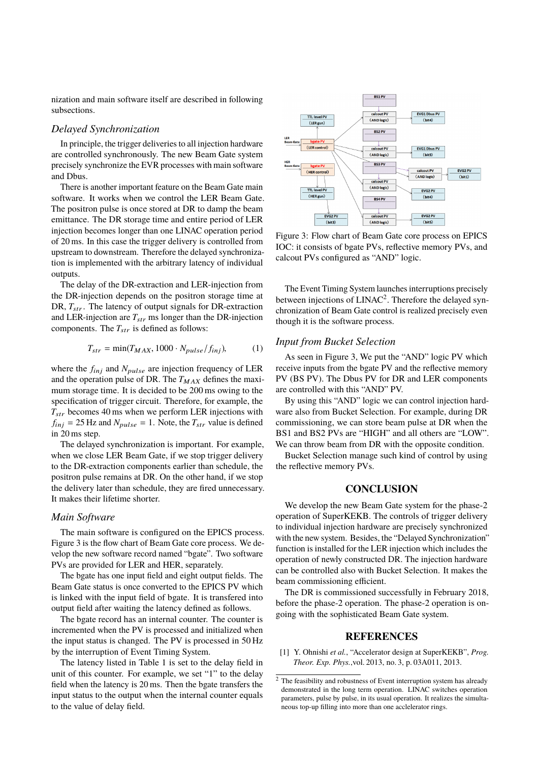nization and main software itself are described in following subsections.

## *Delayed Synchronization*

In principle, the trigger deliveries to all injection hardware are controlled synchronously. The new Beam Gate system precisely synchronize the EVR processes with main software and Dbus.

There is another important feature on the Beam Gate main software. It works when we control the LER Beam Gate. The positron pulse is once stored at DR to damp the beam emittance. The DR storage time and entire period of LER injection becomes longer than one LINAC operation period of 20 ms. In this case the trigger delivery is controlled from upstream to downstream. Therefore the delayed synchronization is implemented with the arbitrary latency of individual outputs.

The delay of the DR-extraction and LER-injection from the DR-injection depends on the positron storage time at DR,  $T_{str}$ . The latency of output signals for DR-extraction and LER-injection are  $T_{str}$  ms longer than the DR-injection components. The  $T_{str}$  is defined as follows:

$$
T_{str} = \min(T_{MAX}, 1000 \cdot N_{pulse}/f_{inj}),\tag{1}
$$

where the  $f_{inj}$  and  $N_{pulse}$  are injection frequency of LER and the operation pulse of DR. The  $T_{MAX}$  defines the maximum storage time. It is decided to be 200 ms owing to the specification of trigger circuit. Therefore, for example, the  $T_{str}$  becomes 40 ms when we perform LER injections with  $f_{inj} = 25$  Hz and  $N_{pulse} = 1$ . Note, the  $T_{str}$  value is defined in 20 ms step.

The delayed synchronization is important. For example, when we close LER Beam Gate, if we stop trigger delivery to the DR-extraction components earlier than schedule, the positron pulse remains at DR. On the other hand, if we stop the delivery later than schedule, they are fired unnecessary. It makes their lifetime shorter.

#### *Main Software*

The main software is configured on the EPICS process. Figure 3 is the flow chart of Beam Gate core process. We develop the new software record named "bgate". Two software PVs are provided for LER and HER, separately.

The bgate has one input field and eight output fields. The Beam Gate status is once converted to the EPICS PV which is linked with the input field of bgate. It is transfered into output field after waiting the latency defined as follows.

The bgate record has an internal counter. The counter is incremented when the PV is processed and initialized when the input status is changed. The PV is processed in 50 Hz by the interruption of Event Timing System.

The latency listed in Table 1 is set to the delay field in unit of this counter. For example, we set "1" to the delay field when the latency is 20 ms. Then the bgate transfers the input status to the output when the internal counter equals to the value of delay field.



Figure 3: Flow chart of Beam Gate core process on EPICS IOC: it consists of bgate PVs, reflective memory PVs, and calcout PVs configured as "AND" logic.

The Event Timing System launches interruptions precisely between injections of LINAC<sup>2</sup>. Therefore the delayed synchronization of Beam Gate control is realized precisely even though it is the software process.

## *Input from Bucket Selection*

As seen in Figure 3, We put the "AND" logic PV which receive inputs from the bgate PV and the reflective memory PV (BS PV). The Dbus PV for DR and LER components are controlled with this "AND" PV.

By using this "AND" logic we can control injection hardware also from Bucket Selection. For example, during DR commissioning, we can store beam pulse at DR when the BS1 and BS2 PVs are "HIGH" and all others are "LOW". We can throw beam from DR with the opposite condition.

Bucket Selection manage such kind of control by using the reflective memory PVs.

### **CONCLUSION**

We develop the new Beam Gate system for the phase-2 operation of SuperKEKB. The controls of trigger delivery to individual injection hardware are precisely synchronized with the new system. Besides, the "Delayed Synchronization" function is installed for the LER injection which includes the operation of newly constructed DR. The injection hardware can be controlled also with Bucket Selection. It makes the beam commissioning efficient.

The DR is commissioned successfully in February 2018, before the phase-2 operation. The phase-2 operation is ongoing with the sophisticated Beam Gate system.

#### **REFERENCES**

[1] Y. Ohnishi *et al.*, "Accelerator design at SuperKEKB", *Prog. Theor. Exp. Phys.*,vol. 2013, no. 3, p. 03A011, 2013.

 $\overline{2}$  The feasibility and robustness of Event interruption system has already demonstrated in the long term operation. LINAC switches operation parameters, pulse by pulse, in its usual operation. It realizes the simultaneous top-up filling into more than one acclelerator rings.